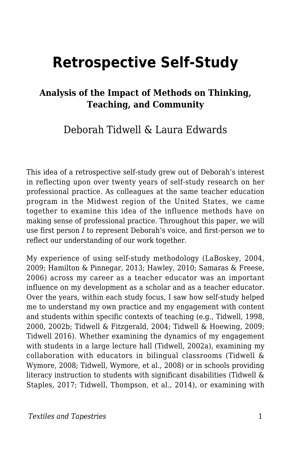# **Retrospective Self-Study**

#### **Analysis of the Impact of Methods on Thinking, Teaching, and Community**

#### Deborah Tidwell & Laura Edwards

This idea of a retrospective self-study grew out of Deborah's interest in reflecting upon over twenty years of self-study research on her professional practice. As colleagues at the same teacher education program in the Midwest region of the United States, we came together to examine this idea of the influence methods have on making sense of professional practice. Throughout this paper, we will use first person *I* to represent Deborah's voice, and first-person *we* to reflect our understanding of our work together.

My experience of using self-study methodology (LaBoskey, 2004, 2009; Hamilton & Pinnegar, 2013; Hawley, 2010; Samaras & Freese, 2006) across my career as a teacher educator was an important influence on my development as a scholar and as a teacher educator. Over the years, within each study focus, I saw how self-study helped me to understand my own practice and my engagement with content and students within specific contexts of teaching (e.g., Tidwell, 1998, 2000, 2002b; Tidwell & Fitzgerald, 2004; Tidwell & Hoewing, 2009; Tidwell 2016). Whether examining the dynamics of my engagement with students in a large lecture hall (Tidwell, 2002a), examining my collaboration with educators in bilingual classrooms (Tidwell & Wymore, 2008; Tidwell, Wymore, et al., 2008) or in schools providing literacy instruction to students with significant disabilities (Tidwell & Staples, 2017; Tidwell, Thompson, et al., 2014), or examining with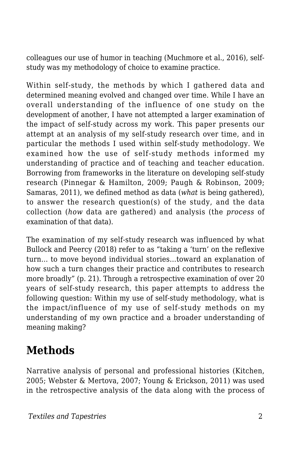colleagues our use of humor in teaching (Muchmore et al., 2016), selfstudy was my methodology of choice to examine practice.

Within self-study, the methods by which I gathered data and determined meaning evolved and changed over time. While I have an overall understanding of the influence of one study on the development of another, I have not attempted a larger examination of the impact of self-study across my work. This paper presents our attempt at an analysis of my self-study research over time, and in particular the methods I used within self-study methodology. We examined how the use of self-study methods informed my understanding of practice and of teaching and teacher education. Borrowing from frameworks in the literature on developing self-study research (Pinnegar & Hamilton, 2009; Paugh & Robinson, 2009; Samaras, 2011), we defined method as data (*what* is being gathered), to answer the research question(s) of the study, and the data collection (*how* data are gathered) and analysis (the *process* of examination of that data).

The examination of my self-study research was influenced by what Bullock and Peercy (2018) refer to as "taking a 'turn' on the reflexive turn… to move beyond individual stories…toward an explanation of how such a turn changes their practice and contributes to research more broadly" (p. 21). Through a retrospective examination of over 20 years of self-study research, this paper attempts to address the following question: Within my use of self-study methodology, what is the impact/influence of my use of self-study methods on my understanding of my own practice and a broader understanding of meaning making?

### **Methods**

Narrative analysis of personal and professional histories (Kitchen, 2005; Webster & Mertova, 2007; Young & Erickson, 2011) was used in the retrospective analysis of the data along with the process of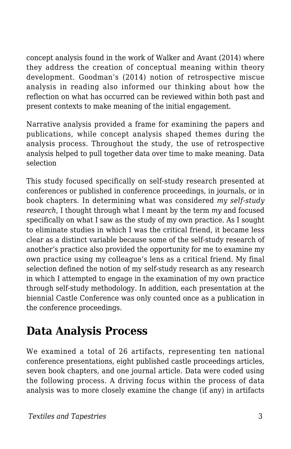concept analysis found in the work of Walker and Avant (2014) where they address the creation of conceptual meaning within theory development. Goodman's (2014) notion of retrospective miscue analysis in reading also informed our thinking about how the reflection on what has occurred can be reviewed within both past and present contexts to make meaning of the initial engagement.

Narrative analysis provided a frame for examining the papers and publications, while concept analysis shaped themes during the analysis process. Throughout the study, the use of retrospective analysis helped to pull together data over time to make meaning. Data selection

This study focused specifically on self-study research presented at conferences or published in conference proceedings, in journals, or in book chapters. In determining what was considered *my self-study research*, I thought through what I meant by the term *my* and focused specifically on what I saw as the study of my own practice. As I sought to eliminate studies in which I was the critical friend, it became less clear as a distinct variable because some of the self-study research of another's practice also provided the opportunity for me to examine my own practice using my colleague's lens as a critical friend. My final selection defined the notion of my self-study research as any research in which I attempted to engage in the examination of my own practice through self-study methodology. In addition, each presentation at the biennial Castle Conference was only counted once as a publication in the conference proceedings.

## **Data Analysis Process**

We examined a total of 26 artifacts, representing ten national conference presentations, eight published castle proceedings articles, seven book chapters, and one journal article. Data were coded using the following process. A driving focus within the process of data analysis was to more closely examine the change (if any) in artifacts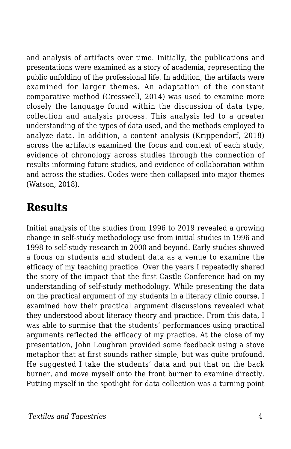and analysis of artifacts over time. Initially, the publications and presentations were examined as a story of academia, representing the public unfolding of the professional life. In addition, the artifacts were examined for larger themes. An adaptation of the constant comparative method (Cresswell, 2014) was used to examine more closely the language found within the discussion of data type, collection and analysis process. This analysis led to a greater understanding of the types of data used, and the methods employed to analyze data. In addition, a content analysis (Krippendorf, 2018) across the artifacts examined the focus and context of each study, evidence of chronology across studies through the connection of results informing future studies, and evidence of collaboration within and across the studies. Codes were then collapsed into major themes (Watson, 2018).

#### **Results**

Initial analysis of the studies from 1996 to 2019 revealed a growing change in self-study methodology use from initial studies in 1996 and 1998 to self-study research in 2000 and beyond. Early studies showed a focus on students and student data as a venue to examine the efficacy of my teaching practice. Over the years I repeatedly shared the story of the impact that the first Castle Conference had on my understanding of self-study methodology. While presenting the data on the practical argument of my students in a literacy clinic course, I examined how their practical argument discussions revealed what they understood about literacy theory and practice. From this data, I was able to surmise that the students' performances using practical arguments reflected the efficacy of my practice. At the close of my presentation, John Loughran provided some feedback using a stove metaphor that at first sounds rather simple, but was quite profound. He suggested I take the students' data and put that on the back burner, and move myself onto the front burner to examine directly. Putting myself in the spotlight for data collection was a turning point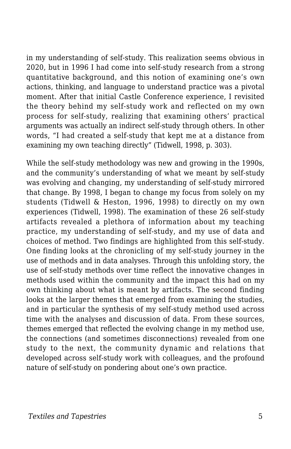in my understanding of self-study. This realization seems obvious in 2020, but in 1996 I had come into self-study research from a strong quantitative background, and this notion of examining one's own actions, thinking, and language to understand practice was a pivotal moment. After that initial Castle Conference experience, I revisited the theory behind my self-study work and reflected on my own process for self-study, realizing that examining others' practical arguments was actually an indirect self-study through others. In other words, "I had created a self-study that kept me at a distance from examining my own teaching directly" (Tidwell, 1998, p. 303).

While the self-study methodology was new and growing in the 1990s, and the community's understanding of what we meant by self-study was evolving and changing, my understanding of self-study mirrored that change. By 1998, I began to change my focus from solely on my students (Tidwell & Heston, 1996, 1998) to directly on my own experiences (Tidwell, 1998). The examination of these 26 self-study artifacts revealed a plethora of information about my teaching practice, my understanding of self-study, and my use of data and choices of method. Two findings are highlighted from this self-study. One finding looks at the chronicling of my self-study journey in the use of methods and in data analyses. Through this unfolding story, the use of self-study methods over time reflect the innovative changes in methods used within the community and the impact this had on my own thinking about what is meant by artifacts. The second finding looks at the larger themes that emerged from examining the studies, and in particular the synthesis of my self-study method used across time with the analyses and discussion of data. From these sources, themes emerged that reflected the evolving change in my method use, the connections (and sometimes disconnections) revealed from one study to the next, the community dynamic and relations that developed across self-study work with colleagues, and the profound nature of self-study on pondering about one's own practice.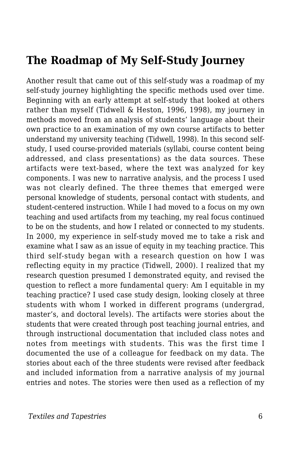#### **The Roadmap of My Self-Study Journey**

Another result that came out of this self-study was a roadmap of my self-study journey highlighting the specific methods used over time. Beginning with an early attempt at self-study that looked at others rather than myself (Tidwell & Heston, 1996, 1998), my journey in methods moved from an analysis of students' language about their own practice to an examination of my own course artifacts to better understand my university teaching (Tidwell, 1998). In this second selfstudy, I used course-provided materials (syllabi, course content being addressed, and class presentations) as the data sources. These artifacts were text-based, where the text was analyzed for key components. I was new to narrative analysis, and the process I used was not clearly defined. The three themes that emerged were personal knowledge of students, personal contact with students, and student-centered instruction. While I had moved to a focus on my own teaching and used artifacts from my teaching, my real focus continued to be on the students, and how I related or connected to my students. In 2000, my experience in self-study moved me to take a risk and examine what I saw as an issue of equity in my teaching practice. This third self-study began with a research question on how I was reflecting equity in my practice (Tidwell, 2000). I realized that my research question presumed I demonstrated equity, and revised the question to reflect a more fundamental query: Am I equitable in my teaching practice? I used case study design, looking closely at three students with whom I worked in different programs (undergrad, master's, and doctoral levels). The artifacts were stories about the students that were created through post teaching journal entries, and through instructional documentation that included class notes and notes from meetings with students. This was the first time I documented the use of a colleague for feedback on my data. The stories about each of the three students were revised after feedback and included information from a narrative analysis of my journal entries and notes. The stories were then used as a reflection of my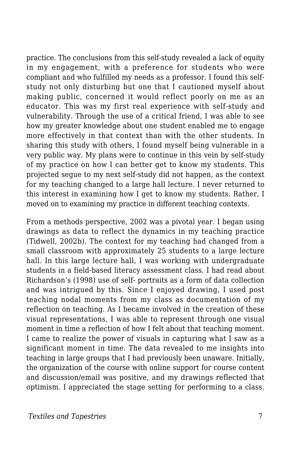practice. The conclusions from this self-study revealed a lack of equity in my engagement, with a preference for students who were compliant and who fulfilled my needs as a professor. I found this selfstudy not only disturbing but one that I cautioned myself about making public, concerned it would reflect poorly on me as an educator. This was my first real experience with self-study and vulnerability. Through the use of a critical friend, I was able to see how my greater knowledge about one student enabled me to engage more effectively in that context than with the other students. In sharing this study with others, I found myself being vulnerable in a very public way. My plans were to continue in this vein by self-study of my practice on how I can better get to know my students. This projected segue to my next self-study did not happen, as the context for my teaching changed to a large hall lecture. I never returned to this interest in examining how I get to know my students. Rather, I moved on to examining my practice in different teaching contexts.

From a methods perspective, 2002 was a pivotal year. I began using drawings as data to reflect the dynamics in my teaching practice (Tidwell, 2002b). The context for my teaching had changed from a small classroom with approximately 25 students to a large lecture hall. In this large lecture hall, I was working with undergraduate students in a field-based literacy assessment class. I had read about Richardson's (1998) use of self- portraits as a form of data collection and was intrigued by this. Since I enjoyed drawing, I used post teaching nodal moments from my class as documentation of my reflection on teaching. As I became involved in the creation of these visual representations, I was able to represent through one visual moment in time a reflection of how I felt about that teaching moment. I came to realize the power of visuals in capturing what I saw as a significant moment in time. The data revealed to me insights into teaching in large groups that I had previously been unaware. Initially, the organization of the course with online support for course content and discussion/email was positive, and my drawings reflected that optimism. I appreciated the stage setting for performing to a class.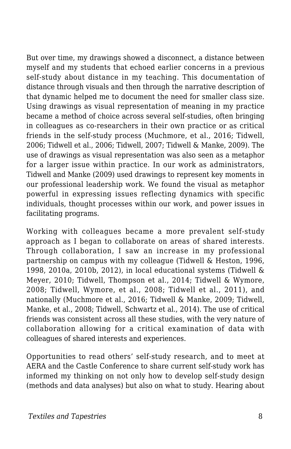But over time, my drawings showed a disconnect, a distance between myself and my students that echoed earlier concerns in a previous self-study about distance in my teaching. This documentation of distance through visuals and then through the narrative description of that dynamic helped me to document the need for smaller class size. Using drawings as visual representation of meaning in my practice became a method of choice across several self-studies, often bringing in colleagues as co-researchers in their own practice or as critical friends in the self-study process (Muchmore, et al., 2016; Tidwell, 2006; Tidwell et al., 2006; Tidwell, 2007; Tidwell & Manke, 2009). The use of drawings as visual representation was also seen as a metaphor for a larger issue within practice. In our work as administrators, Tidwell and Manke (2009) used drawings to represent key moments in our professional leadership work. We found the visual as metaphor powerful in expressing issues reflecting dynamics with specific individuals, thought processes within our work, and power issues in facilitating programs.

Working with colleagues became a more prevalent self-study approach as I began to collaborate on areas of shared interests. Through collaboration, I saw an increase in my professional partnership on campus with my colleague (Tidwell & Heston, 1996, 1998, 2010a, 2010b, 2012), in local educational systems (Tidwell & Meyer, 2010; Tidwell, Thompson et al., 2014; Tidwell & Wymore, 2008; Tidwell, Wymore, et al., 2008; Tidwell et al., 2011), and nationally (Muchmore et al., 2016; Tidwell & Manke, 2009; Tidwell, Manke, et al., 2008; Tidwell, Schwartz et al., 2014). The use of critical friends was consistent across all these studies, with the very nature of collaboration allowing for a critical examination of data with colleagues of shared interests and experiences.

Opportunities to read others' self-study research, and to meet at AERA and the Castle Conference to share current self-study work has informed my thinking on not only how to develop self-study design (methods and data analyses) but also on what to study. Hearing about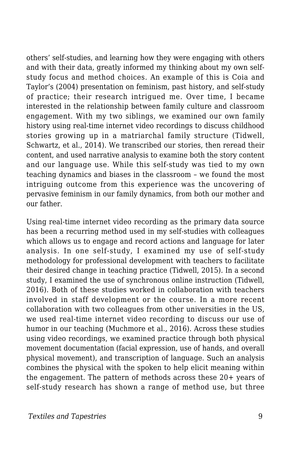others' self-studies, and learning how they were engaging with others and with their data, greatly informed my thinking about my own selfstudy focus and method choices. An example of this is Coia and Taylor's (2004) presentation on feminism, past history, and self-study of practice; their research intrigued me. Over time, I became interested in the relationship between family culture and classroom engagement. With my two siblings, we examined our own family history using real-time internet video recordings to discuss childhood stories growing up in a matriarchal family structure (Tidwell, Schwartz, et al., 2014). We transcribed our stories, then reread their content, and used narrative analysis to examine both the story content and our language use. While this self-study was tied to my own teaching dynamics and biases in the classroom – we found the most intriguing outcome from this experience was the uncovering of pervasive feminism in our family dynamics, from both our mother and our father.

Using real-time internet video recording as the primary data source has been a recurring method used in my self-studies with colleagues which allows us to engage and record actions and language for later analysis. In one self-study, I examined my use of self-study methodology for professional development with teachers to facilitate their desired change in teaching practice (Tidwell, 2015). In a second study, I examined the use of synchronous online instruction (Tidwell, 2016). Both of these studies worked in collaboration with teachers involved in staff development or the course. In a more recent collaboration with two colleagues from other universities in the US, we used real-time internet video recording to discuss our use of humor in our teaching (Muchmore et al., 2016). Across these studies using video recordings, we examined practice through both physical movement documentation (facial expression, use of hands, and overall physical movement), and transcription of language. Such an analysis combines the physical with the spoken to help elicit meaning within the engagement. The pattern of methods across these 20+ years of self-study research has shown a range of method use, but three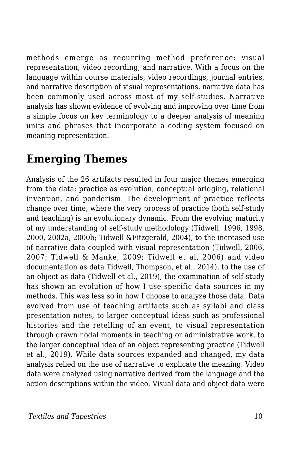methods emerge as recurring method preference: visual representation, video recording, and narrative. With a focus on the language within course materials, video recordings, journal entries, and narrative description of visual representations, narrative data has been commonly used across most of my self-studies. Narrative analysis has shown evidence of evolving and improving over time from a simple focus on key terminology to a deeper analysis of meaning units and phrases that incorporate a coding system focused on meaning representation.

### **Emerging Themes**

Analysis of the 26 artifacts resulted in four major themes emerging from the data: practice as evolution, conceptual bridging, relational invention, and ponderism. The development of practice reflects change over time, where the very process of practice (both self-study and teaching) is an evolutionary dynamic. From the evolving maturity of my understanding of self-study methodology (Tidwell, 1996, 1998, 2000, 2002a, 2000b; Tidwell &Fitzgerald, 2004), to the increased use of narrative data coupled with visual representation (Tidwell, 2006, 2007; Tidwell & Manke, 2009; Tidwell et al, 2006) and video documentation as data Tidwell, Thompson, et al., 2014), to the use of an object as data (Tidwell et al., 2019), the examination of self-study has shown an evolution of how I use specific data sources in my methods. This was less so in how I choose to analyze those data. Data evolved from use of teaching artifacts such as syllabi and class presentation notes, to larger conceptual ideas such as professional histories and the retelling of an event, to visual representation through drawn nodal moments in teaching or administrative work, to the larger conceptual idea of an object representing practice (Tidwell et al., 2019). While data sources expanded and changed, my data analysis relied on the use of narrative to explicate the meaning. Video data were analyzed using narrative derived from the language and the action descriptions within the video. Visual data and object data were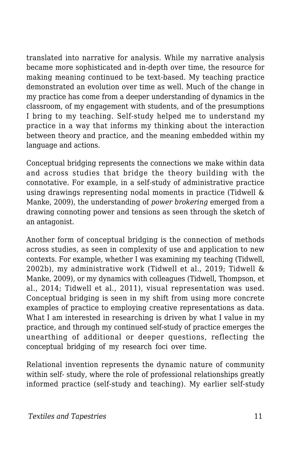translated into narrative for analysis. While my narrative analysis became more sophisticated and in-depth over time, the resource for making meaning continued to be text-based. My teaching practice demonstrated an evolution over time as well. Much of the change in my practice has come from a deeper understanding of dynamics in the classroom, of my engagement with students, and of the presumptions I bring to my teaching. Self-study helped me to understand my practice in a way that informs my thinking about the interaction between theory and practice, and the meaning embedded within my language and actions.

Conceptual bridging represents the connections we make within data and across studies that bridge the theory building with the connotative. For example, in a self-study of administrative practice using drawings representing nodal moments in practice (Tidwell & Manke, 2009), the understanding of *power brokering* emerged from a drawing connoting power and tensions as seen through the sketch of an antagonist.

Another form of conceptual bridging is the connection of methods across studies, as seen in complexity of use and application to new contexts. For example, whether I was examining my teaching (Tidwell, 2002b), my administrative work (Tidwell et al., 2019; Tidwell & Manke, 2009), or my dynamics with colleagues (Tidwell, Thompson, et al., 2014; Tidwell et al., 2011), visual representation was used. Conceptual bridging is seen in my shift from using more concrete examples of practice to employing creative representations as data. What I am interested in researching is driven by what I value in my practice, and through my continued self-study of practice emerges the unearthing of additional or deeper questions, reflecting the conceptual bridging of my research foci over time.

Relational invention represents the dynamic nature of community within self- study, where the role of professional relationships greatly informed practice (self-study and teaching). My earlier self-study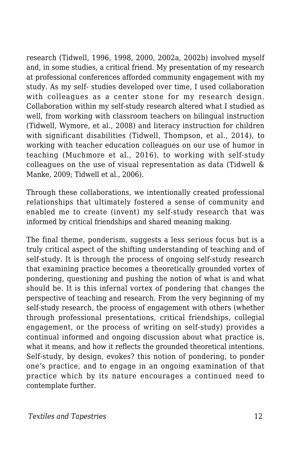research (Tidwell, 1996, 1998, 2000, 2002a, 2002b) involved myself and, in some studies, a critical friend. My presentation of my research at professional conferences afforded community engagement with my study. As my self- studies developed over time, I used collaboration with colleagues as a center stone for my research design. Collaboration within my self-study research altered what I studied as well, from working with classroom teachers on bilingual instruction (Tidwell, Wymore, et al., 2008) and literacy instruction for children with significant disabilities (Tidwell, Thompson, et al., 2014), to working with teacher education colleagues on our use of humor in teaching (Muchmore et al., 2016), to working with self-study colleagues on the use of visual representation as data (Tidwell & Manke, 2009; Tidwell et al., 2006).

Through these collaborations, we intentionally created professional relationships that ultimately fostered a sense of community and enabled me to create (invent) my self-study research that was informed by critical friendships and shared meaning making.

The final theme, ponderism, suggests a less serious focus but is a truly critical aspect of the shifting understanding of teaching and of self-study. It is through the process of ongoing self-study research that examining practice becomes a theoretically grounded vortex of pondering, questioning and pushing the notion of what is and what should be. It is this infernal vortex of pondering that changes the perspective of teaching and research. From the very beginning of my self-study research, the process of engagement with others (whether through professional presentations, critical friendships, collegial engagement, or the process of writing on self-study) provides a continual informed and ongoing discussion about what practice is, what it means, and how it reflects the grounded theoretical intentions. Self-study, by design, evokes? this notion of pondering, to ponder one's practice, and to engage in an ongoing examination of that practice which by its nature encourages a continued need to contemplate further.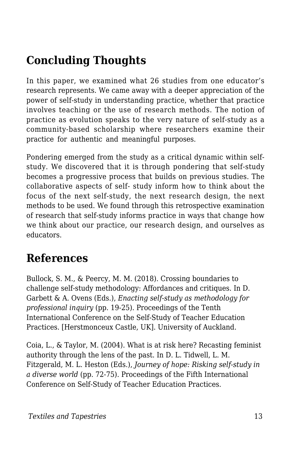# **Concluding Thoughts**

In this paper, we examined what 26 studies from one educator's research represents. We came away with a deeper appreciation of the power of self-study in understanding practice, whether that practice involves teaching or the use of research methods. The notion of practice as evolution speaks to the very nature of self-study as a community-based scholarship where researchers examine their practice for authentic and meaningful purposes.

Pondering emerged from the study as a critical dynamic within selfstudy. We discovered that it is through pondering that self-study becomes a progressive process that builds on previous studies. The collaborative aspects of self- study inform how to think about the focus of the next self-study, the next research design, the next methods to be used. We found through this retrospective examination of research that self-study informs practice in ways that change how we think about our practice, our research design, and ourselves as educators.

### **References**

Bullock, S. M., & Peercy, M. M. (2018). Crossing boundaries to challenge self-study methodology: Affordances and critiques. In D. Garbett & A. Ovens (Eds.), *Enacting self-study as methodology for professional inquiry* (pp. 19-25). Proceedings of the Tenth International Conference on the Self-Study of Teacher Education Practices. [Herstmonceux Castle, UK]. University of Auckland.

Coia, L., & Taylor, M. (2004). What is at risk here? Recasting feminist authority through the lens of the past. In D. L. Tidwell, L. M. Fitzgerald, M. L. Heston (Eds.), *Journey of hope: Risking self-study in a diverse world* (pp. 72-75). Proceedings of the Fifth International Conference on Self-Study of Teacher Education Practices.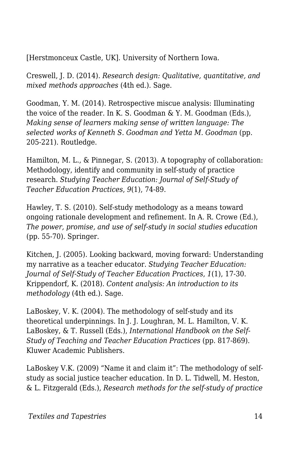[Herstmonceux Castle, UK]. University of Northern Iowa.

Creswell, J. D. (2014). *Research design: Qualitative, quantitative, and mixed methods approaches* (4th ed.). Sage.

Goodman, Y. M. (2014). Retrospective miscue analysis: Illuminating the voice of the reader. In K. S. Goodman & Y. M. Goodman (Eds.), *Making sense of learners making sense of written language: The selected works of Kenneth S. Goodman and Yetta M. Goodman* (pp. 205-221). Routledge.

Hamilton, M. L., & Pinnegar, S. (2013). A topography of collaboration: Methodology, identify and community in self-study of practice research. *Studying Teacher Education: Journal of Self-Study of Teacher Education Practices*, *9*(1), 74-89.

Hawley, T. S. (2010). Self-study methodology as a means toward ongoing rationale development and refinement. In A. R. Crowe (Ed.), *The power, promise, and use of self-study in social studies education* (pp. 55-70). Springer.

Kitchen, J. (2005). Looking backward, moving forward: Understanding my narrative as a teacher educator. *Studying Teacher Education: Journal of Self-Study of Teacher Education Practices*, *1*(1), 17-30. Krippendorf, K. (2018). *Content analysis: An introduction to its methodology* (4th ed.). Sage.

LaBoskey, V. K. (2004). The methodology of self-study and its theoretical underpinnings. In J. J. Loughran, M. L. Hamilton, V. K. LaBoskey, & T. Russell (Eds.), *International Handbook on the Self-Study of Teaching and Teacher Education Practices* (pp. 817-869). Kluwer Academic Publishers.

LaBoskey V.K. (2009) "Name it and claim it": The methodology of selfstudy as social justice teacher education. In D. L. Tidwell, M. Heston, & L. Fitzgerald (Eds.), *Research methods for the self-study of practice*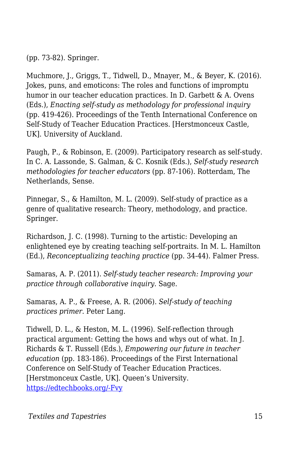(pp. 73-82). Springer.

Muchmore, J., Griggs, T., Tidwell, D., Mnayer, M., & Beyer, K. (2016). Jokes, puns, and emoticons: The roles and functions of impromptu humor in our teacher education practices. In D. Garbett & A. Ovens (Eds.), *Enacting self-study as methodology for professional inquiry* (pp. 419-426). Proceedings of the Tenth International Conference on Self-Study of Teacher Education Practices. [Herstmonceux Castle, UK]. University of Auckland.

Paugh, P., & Robinson, E. (2009). Participatory research as self-study. In C. A. Lassonde, S. Galman, & C. Kosnik (Eds.), *Self-study research methodologies for teacher educators* (pp. 87-106). Rotterdam, The Netherlands, Sense.

Pinnegar, S., & Hamilton, M. L. (2009). Self-study of practice as a genre of qualitative research: Theory, methodology, and practice. Springer.

Richardson, J. C. (1998). Turning to the artistic: Developing an enlightened eye by creating teaching self-portraits. In M. L. Hamilton (Ed.), *Reconceptualizing teaching practice* (pp. 34-44). Falmer Press.

Samaras, A. P. (2011). *Self-study teacher research: Improving your practice through collaborative inquiry*. Sage.

Samaras, A. P., & Freese, A. R. (2006). *Self-study of teaching practices primer*. Peter Lang.

Tidwell, D. L., & Heston, M. L. (1996). Self-reflection through practical argument: Getting the hows and whys out of what. In J. Richards & T. Russell (Eds.), *Empowering our future in teacher education* (pp. 183-186)*.* Proceedings of the First International Conference on Self-Study of Teacher Education Practices. [Herstmonceux Castle, UK]. Queen's University. [https://edtechbooks.org/-Fvy](http://resources.educ.queensu.ca/ar/sstep/S-STEP1-1996.pdf)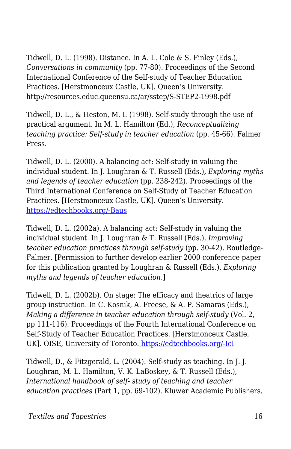Tidwell, D. L. (1998). Distance. In A. L. Cole & S. Finley (Eds.), *Conversations in community* (pp. 77-80). Proceedings of the Second International Conference of the Self-study of Teacher Education Practices. [Herstmonceux Castle, UK]. Queen's University. http://resources.educ.queensu.ca/ar/sstep/S-STEP2-1998.pdf

Tidwell, D. L., & Heston, M. I. (1998). Self-study through the use of practical argument. In M. L. Hamilton (Ed.), *Reconceptualizing teaching practice: Self-study in teacher education* (pp. 45-66). Falmer Press.

Tidwell, D. L. (2000). A balancing act: Self-study in valuing the individual student. In J. Loughran & T. Russell (Eds.)*, Exploring myths and legends of teacher education* (pp. 238-242). Proceedings of the Third International Conference on Self-Study of Teacher Education Practices. [Herstmonceux Castle, UK]. Queen's University. [https://edtechbooks.org/-Baus](http://resources.educ.queensu.ca/ar/sstep/S-STEP3-2000.pdf)

Tidwell, D. L. (2002a). A balancing act: Self-study in valuing the individual student. In J. Loughran & T. Russell (Eds.), *Improving teacher education practices through self-study* (pp. 30-42). Routledge-Falmer. [Permission to further develop earlier 2000 conference paper for this publication granted by Loughran & Russell (Eds.), *Exploring myths and legends of teacher education*.]

Tidwell, D. L. (2002b). On stage: The efficacy and theatrics of large group instruction. In C. Kosnik, A. Freese, & A. P. Samaras (Eds.), *Making a difference in teacher education through self-study* (Vol. 2, pp 111-116). Proceedings of the Fourth International Conference on Self-Study of Teacher Education Practices. [Herstmonceux Castle, UK][.](http://resources.educ.queensu.ca/ar/sstep/S-STEP4-2002b.pdf) OISE, University of Toronto. [https://edtechbooks.org/-IcI](http://resources.educ.queensu.ca/ar/sstep/S-STEP4-2002b.pdf)

Tidwell, D., & Fitzgerald, L. (2004). Self-study as teaching. In J. J. Loughran, M. L. Hamilton, V. K. LaBoskey, & T. Russell (Eds.), *International handbook of self- study of teaching and teacher education practices* (Part 1, pp. 69-102). Kluwer Academic Publishers.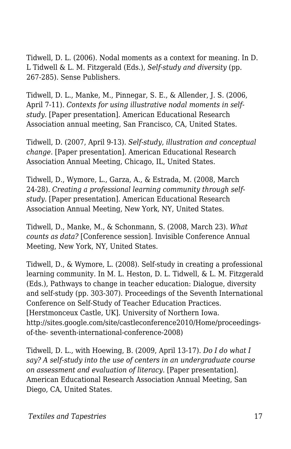Tidwell, D. L. (2006). Nodal moments as a context for meaning. In D. L Tidwell & L. M. Fitzgerald (Eds.), *Self-study and diversity* (pp. 267-285). Sense Publishers.

Tidwell, D. L., Manke, M., Pinnegar, S. E., & Allender, J. S. (2006, April 7-11). *Contexts for using illustrative nodal moments in selfstudy*. [Paper presentation]. American Educational Research Association annual meeting, San Francisco, CA, United States.

Tidwell, D. (2007, April 9-13). *Self-study, illustration and conceptual change.* [Paper presentation]. American Educational Research Association Annual Meeting, Chicago, IL, United States.

Tidwell, D., Wymore, L., Garza, A., & Estrada, M. (2008, March 24-28). *Creating a professional learning community through selfstudy.* [Paper presentation]. American Educational Research Association Annual Meeting, New York, NY, United States.

Tidwell, D., Manke, M., & Schonmann, S. (2008, March 23). *What counts as data?* [Conference session]. Invisible Conference Annual Meeting, New York, NY, United States.

Tidwell, D., & Wymore, L. (2008). Self-study in creating a professional learning community. In M. L. Heston, D. L. Tidwell, & L. M. Fitzgerald (Eds.), Pathways to change in teacher education: Dialogue, diversity and self-study (pp. 303-307). Proceedings of the Seventh International Conference on Self-Study of Teacher Education Practices. [Herstmonceux Castle, UK]. University of Northern Iowa. http://sites.google.com/site/castleconference2010/Home/proceedingsof-the- seventh-international-conference-2008)

Tidwell, D. L., with Hoewing, B. (2009, April 13-17). *Do I do what I say? A self-study into the use of centers in an undergraduate course on assessment and evaluation of literacy.* [Paper presentation]. American Educational Research Association Annual Meeting, San Diego, CA, United States.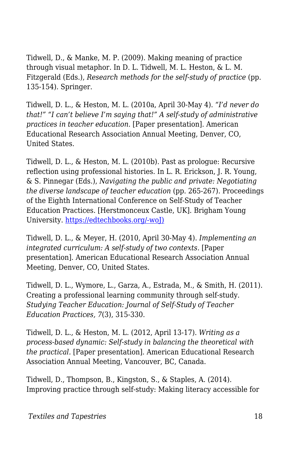Tidwell, D., & Manke, M. P. (2009). Making meaning of practice through visual metaphor. In D. L. Tidwell, M. L. Heston, & L. M. Fitzgerald (Eds.), *Research methods for the self-study of practice* (pp. 135-154)*.* Springer.

Tidwell, D. L., & Heston, M. L. (2010a, April 30-May 4). *"I'd never do that!" "I can't believe I'm saying that!" A self-study of administrative practices in teacher education.* [Paper presentation]. American Educational Research Association Annual Meeting, Denver, CO, United States.

Tidwell, D. L., & Heston, M. L. (2010b). Past as prologue: Recursive reflection using professional histories. In L. R. Erickson, J. R. Young, & S. Pinnegar (Eds.), *Navigating the public and private: Negotiating the diverse landscape of teacher education* (pp. 265-267). Proceedings of the Eighth International Conference on Self-Study of Teacher Education Practices. [Herstmonceux Castle, UK]. Brigham Young University. [https://edtechbooks.org/-woJ\)](http://sites.google.com/site/castleconference2010/))

Tidwell, D. L., & Meyer, H. (2010, April 30-May 4). *Implementing an* integrated curriculum: A self-study of two contexts. [Paper presentation]. American Educational Research Association Annual Meeting, Denver, CO, United States.

Tidwell, D. L., Wymore, L., Garza, A., Estrada, M., & Smith, H. (2011). Creating a professional learning community through self-study. *Studying Teacher Education: Journal of Self-Study of Teacher Education Practices, 7*(3), 315-330.

Tidwell, D. L., & Heston, M. L. (2012, April 13-17). *Writing as a process-based dynamic: Self-study in balancing the theoretical with the practical.* [Paper presentation]. American Educational Research Association Annual Meeting, Vancouver, BC, Canada.

Tidwell, D., Thompson, B., Kingston, S., & Staples, A. (2014). Improving practice through self-study: Making literacy accessible for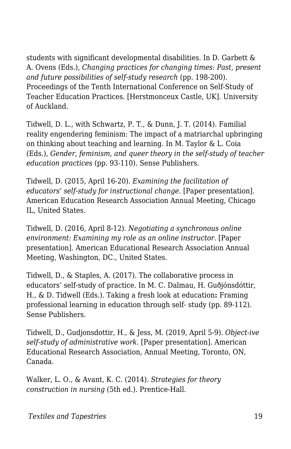students with significant developmental disabilities. In D. Garbett & A. Ovens (Eds.), *Changing practices for changing times: Past, present and future possibilities of self-study research* (pp. 198-200)*.* Proceedings of the Tenth International Conference on Self-Study of Teacher Education Practices. [Herstmonceux Castle, UK]. University of Auckland.

Tidwell, D. L., with Schwartz, P. T., & Dunn, J. T. (2014). Familial reality engendering feminism: The impact of a matriarchal upbringing on thinking about teaching and learning. In M. Taylor & L. Coia (Eds.), *Gender, feminism, and queer theory in the self-study of teacher education practices* (pp. 93-110)*.* Sense Publishers.

Tidwell, D. (2015, April 16-20). *Examining the facilitation of educators' self-study for instructional change.* [Paper presentation]. American Education Research Association Annual Meeting, Chicago IL, United States.

Tidwell, D. (2016, April 8-12). *Negotiating a synchronous online environment: Examining my role as an online instructor.* [Paper presentation]. American Educational Research Association Annual Meeting, Washington, DC., United States.

Tidwell, D., & Staples, A. (2017). The collaborative process in educators' self-study of practice. In M. C. Dalmau, H. Guðjónsdóttir, H., & D. Tidwell (Eds.). Taking a fresh look at education**:** Framing professional learning in education through self- study (pp. 89-112). Sense Publishers.

Tidwell, D., Gudjonsdottir, H., & Jess, M. (2019, April 5-9). *Object-ive self-study of administrative work*. [Paper presentation]. American Educational Research Association, Annual Meeting, Toronto, ON, Canada.

Walker, L. O., & Avant, K. C. (2014). *Strategies for theory construction in nursing* (5th ed.). Prentice-Hall.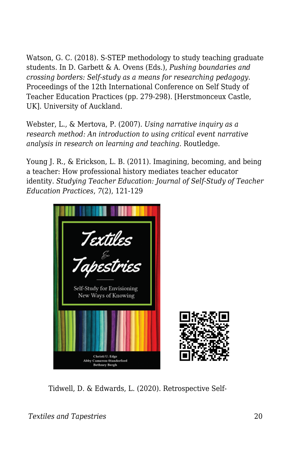Watson, G. C. (2018). S-STEP methodology to study teaching graduate students. In D. Garbett & A. Ovens (Eds.), *Pushing boundaries and crossing borders: Self-study as a means for researching pedagogy.* Proceedings of the 12th International Conference on Self Study of Teacher Education Practices (pp. 279-298). [Herstmonceux Castle, UK]. University of Auckland.

Webster, L., & Mertova, P. (2007). *Using narrative inquiry as a research method: An introduction to using critical event narrative analysis in research on learning and teaching*. Routledge.

Young J. R., & Erickson, L. B. (2011). Imagining, becoming, and being a teacher: How professional history mediates teacher educator identity. *Studying Teacher Education: Journal of Self-Study of Teacher Education Practices*, *7*(2), 121-129



Tidwell, D. & Edwards, L. (2020). Retrospective Self-